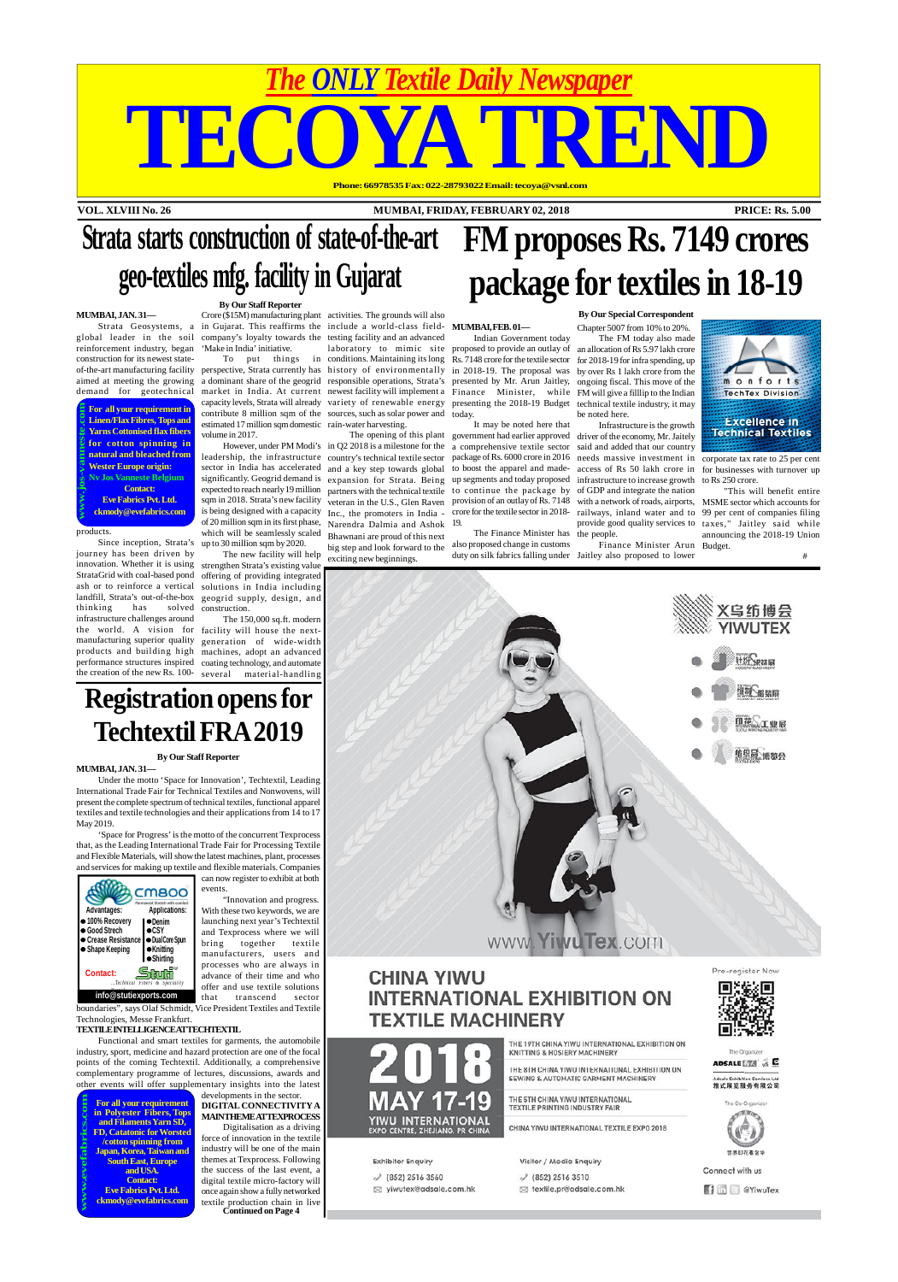**VOL. XLVIII No. 26 MUMBAI, FRIDAY, FEBRUARY 02, 2018 PRICE: Rs. 5.00**

# *The ONLY Textile Daily Newspaper* TECOYA TREND **Phone: 66978535 Fax: 022-28793022 Email: tecoya@vsnl.com**

**For all your requirement in Linen/Flax Fibres, Tops and Yarns Cottonised flax fibers for cotton spinning in natural and bleached from Wester Europe origin: Nv Jos Vanneste Belgium Contact: Eve Fabrics Pvt. Ltd. www.jos-vanneste.com**

**ckmody@evefabrics.com**

**For all your requirement in Polyester Fibers, Tops and Filaments Yarn SD, FD, Catatonic for Worsted /cotton spinning from Japan, Korea, Taiwan and South East, Europe and USA. Contact: Eve Fabrics Pvt. Ltd. ckmody@evefabrics.com www.evefabrics.com**

# **Strata starts construction of state-of-the-art geo-textiles mfg. facility in Gujarat**

**By Our Staff Reporter**

#### **MUMBAI, JAN. 31—**

The 150,000 sq.ft. modern the world. A vision for facility will house the nextmanufacturing superior quality generation of wide-width products and building high machines, adopt an advanced performance structures inspired coating technology, and automate the creation of the new Rs. 100- several material-handling

reinforcement industry, began construction for its newest statedemand for geotechnical

Strata Geosystems, a in Gujarat. This reaffirms the include a world-class field-**MUMBAI, FEB. 01** global leader in the soil company's loyalty towards the testing facility and an advanced Crore (\$15M) manufacturing plant activities. The grounds will also 'Make in India' initiative.

contribute 8 million sqm of the sources, such as solar power and today. estimated 17 million sqm domestic rain-water harvesting. volume in 2017.

innovation. Whether it is using strengthen Strata's existing value Since inception, Strata's journey has been driven by StrataGrid with coal-based pond ash or to reinforce a vertical landfill, Strata's out-of-the-box thinking has solved infrastructure challenges around

significantly. Geogrid demand is expansion for Strata. Being up segments and today proposed infrastructure to increase growth expected to reach nearly 19 million partners with the technical textile to continue the package by of GDP and integrate the nation of 20 million sqm in its first phase, Narendra Dalmia and Ashok which will be seamlessly scaled Bhawnani are proud of this next up to 30 million sqm by 2020.

The new facility will help  $\frac{1}{\sqrt{2}}$  exciting new beginnings.

offering of providing integrated solutions in India including geogrid supply, design, and construction.

big step and look forward to the

products.

However, under PM Modi's in Q2 2018 is a milestone for the a comprehensive textile sector said and added that our country leadership, the infrastructure country's technical textile sector package of Rs. 6000 crore in 2016 needs massive investment in corporate tax rate to 25 per cent sector in India has accelerated and a key step towards global to boost the apparel and made- access of Rs 50 lakh crore in for businesses with turnover up sqm in 2018. Strata's new facility veteran in the U.S., Glen Raven provision of an outlay of Rs. 7148 with a network of roads, airports, MSME sector which accounts for is being designed with a capacity Inc., the promoters in India - crore for the textile sector in 2018- railways, inland water and to 99 per cent of companies filing The opening of this plant government had earlier approved driver of the economy, Mr. Jaitely Infrastructure is the growth

of-the-art manufacturing facility perspective, Strata currently has history of environmentally in 2018-19. The proposal was by over Rs 1 lakh crore from the aimed at meeting the growing a dominant share of the geogrid responsible operations, Strata's presented by Mr. Arun Jaitley, ongoing fiscal. This move of the To put things in conditions. Maintaining its long Rs. 7148 crore for the textile sector for 2018-19 for infra spending, up market in India. At current newest facility will implement a Finance Minister, while FM will give a filllip to the Indian capacity levels, Strata will already variety of renewable energy presenting the 2018-19 Budget technical textile industry, it may laboratory to mimic site proposed to provide an outlay of an allocation of Rs 5.97 lakh crore Indian Government today

## **Registration opens for Techtextil FRA 2019**

#### **By Our Staff Reporter**

**MUMBAI, JAN. 31—**

Under the motto 'Space for Innovation', Techtextil, Leading International Trade Fair for Technical Textiles and Nonwovens, will present the complete spectrum of technical textiles, functional apparel textiles and textile technologies and their applications from 14 to 17 May 2019. 'Space for Progress' is the motto of the concurrent Texprocess that, as the Leading International Trade Fair for Processing Textile and Flexible Materials, will show the latest machines, plant, processes and services for making up textile and flexible materials. Companies can now register to exhibit at both events. **CMBOO** "Innovation and progress.  **Advantages: Applications:** With these two keywords, we are **100% Recovery Denim** launching next year's Techtextil **Good Strech CSY** and Texprocess where we will **Crease Resistance Dual Core Spun** bring together textile **Shape Keeping Knitting** manufacturers, users and **Shirting** processes who are always in <u>Studi</u> **Contact:** advance of their time and who *...Technical Fibers & Speciality* offer and use textile solutions **info@stutiexports.com** *Yar ns!* that transcend sector boundaries", says Olaf Schmidt, Vice President Textiles and Textile Technologies, Messe Frankfurt.

#### **TEXTILE INTELLIGENCE ATTECHTEXTIL**

Functional and smart textiles for garments, the automobile industry, sport, medicine and hazard protection are one of the focal points of the coming Techtextil. Additionally, a comprehensive complementary programme of lectures, discussions, awards and other events will offer supplementary insights into the latest

developments in the sector. **DIGITAL CONNECTIVITYA MAIN THEME ATTEXPROCESS**

Digitalisation as a driving force of innovation in the textile industry will be one of the main themes at Texprocess. Following the success of the last event, a digital textile micro-factory will once again show a fully networked textile production chain in live **Continued on Page 4**



## **CHINA YIWU INTERNATIONAL EXHIBITION ON TEXTILE MACHINERY**



Pre-register Now

THE 19TH CHINA VIWILINTERNATIONAL EXHIBITION ON KNITTING & HOSIERY MACHINERY

THE 8TH CHINA YIWU INTERNATIONAL EXHIBITION ON SEWING & AUTOMATIC GARMENT MACHINERY

THE 5TH CHINA YIWU INTERNATIONAL TEXTILE PRINTING INDUSTRY FAIR

CHINA YIWU INTERNATIONAL TEXTILE EXPO 2018

**Exhibitor Enquiry** 

√ (852) 2516 3560

⊠ yiwutex@adsale.com.hk

YIWU INTERNATIONAL

**EXPO CENTRE, ZHEJIANG, PR CHINA** 

Visitor / Media Enquiry

√ (852) 2516 3510

textile.pr@adsale.com.hk

The Organize ADSALE **ETS** of **C** 

雅式展览服务有限公司





世界印花看金!

Connect with us

**Time** @YiwuTex

# **FM proposes Rs. 7149 crores package for textiles in 18-19**

#### **By Our Special Correspondent**

It may be noted here that 19.

The Finance Minister has the people. also proposed change in customs

Chapter 5007 from 10% to 20%. The FM today also made be noted here.

duty on silk fabrics falling under Jaitley also proposed to lower Finance Minister Arun Budget.



provide good quality services to taxes," Jaitley said while "This will benefit entire announcing the 2018-19 Union

to Rs 250 crore.

#



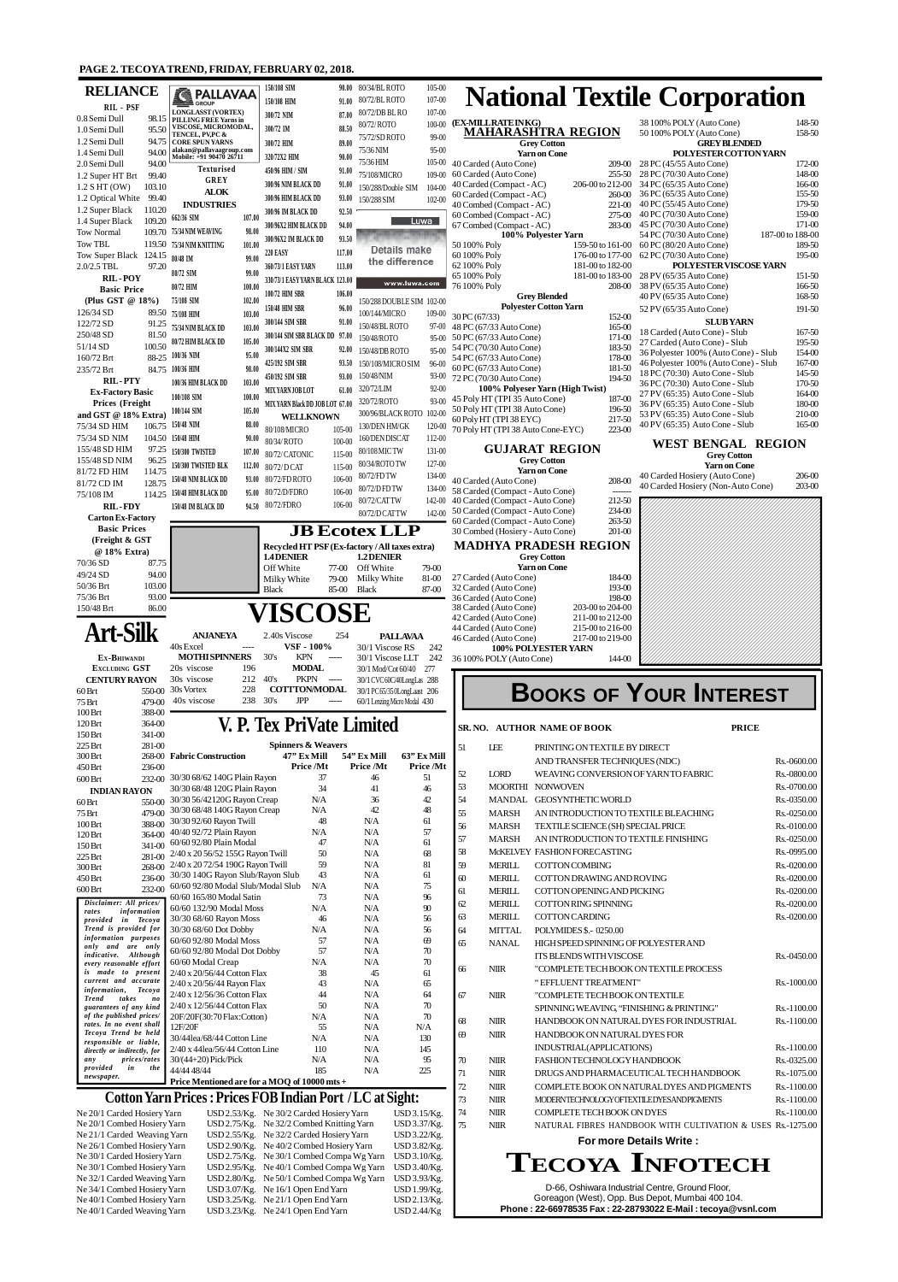#### **PAGE 2. TECOYA TREND, FRIDAY, FEBRUARY 02, 2018.**

| <b>RELIANCE</b>                                                                           |                  | <b>REPALLAVAA</b><br><b>CE GROUP</b>                                 |                  | 150/108 SIM<br>150/108 HIM                                                                                     | 90.00<br>91.00                              | 80/34/BL ROTO<br>80/72/BL ROTO    | 105-00<br>$107 - 00$                               |           |                                                                           |                                                                           |                    | <b>National Textile Corporation</b>                                                                                                                                |                  |                            |
|-------------------------------------------------------------------------------------------|------------------|----------------------------------------------------------------------|------------------|----------------------------------------------------------------------------------------------------------------|---------------------------------------------|-----------------------------------|----------------------------------------------------|-----------|---------------------------------------------------------------------------|---------------------------------------------------------------------------|--------------------|--------------------------------------------------------------------------------------------------------------------------------------------------------------------|------------------|----------------------------|
| RIL - PSF<br>0.8 Semi Dull                                                                |                  | <b>LONGLASST (VORTEX)</b><br>98.15 PILLING FREE Yarns in             |                  | 300/72 NIM                                                                                                     | 87.00                                       | 80/72/DB BL RO                    | $107 - 00$                                         |           |                                                                           |                                                                           |                    |                                                                                                                                                                    |                  |                            |
| 1.0 Semi Dull                                                                             | 95.50            | VISCOSE, MICROMODAL,<br>TENCEL, PVPC &                               |                  | 300/72 IM                                                                                                      | 88.50                                       | 80/72/ROTO                        | $100 - 00$<br>$99-00$                              |           | (EX-MILL RATE INKG)                                                       | MAHARASHTRA REGION                                                        |                    | 38 100% POLY (Auto Cone)<br>50 100% POLY (Auto Cone)                                                                                                               |                  | 148-50<br>158-50           |
| 1.2 Semi Dull<br>1.4 Semi Dull                                                            | 94.75<br>94.00   | <b>CORE SPUN YARNS</b><br>alakan@pallavaagroup.com                   |                  | 300/72 HIM                                                                                                     | 89.00                                       | 75/72/SDROTO<br>75/36 NIM         |                                                    | 95-00     |                                                                           | <b>Grey Cotton</b>                                                        |                    | <b>GREY BLENDED</b>                                                                                                                                                |                  |                            |
| 2.0 Semi Dull                                                                             | 94.00            | Mobile: +91 90470 26711                                              |                  | 320/72X2 HIM                                                                                                   | 90.00                                       | 75/36 HIM                         | $105 - 00$                                         |           | 40 Carded (Auto Cone)                                                     | <b>Yarn on Cone</b>                                                       | 209-00             | POLYESTER COTTONYARN<br>28 PC (45/55 Auto Cone)                                                                                                                    |                  | 172-00                     |
| 1.2 Super HT Brt                                                                          | 99.40            | <b>Texturised</b><br><b>GREY</b>                                     |                  | 450/96 HIM / SIM<br>300/96 NIM BLACK DD                                                                        | 91.00<br>91.00                              | 75/108/MICRO                      | 109-00                                             |           | 60 Carded (Auto Cone)<br>40 Carded (Compact - AC)                         | 206-00 to 212-00                                                          | 255-50             | 28 PC (70/30 Auto Cone)<br>34 PC (65/35 Auto Cone)                                                                                                                 |                  | 148-00<br>166-00           |
| $1.2$ SHT (OW)<br>1.2 Optical White                                                       | 103.10<br>99.40  | <b>ALOK</b>                                                          |                  | 300/96 HIM BLACK DD                                                                                            | 93.00                                       | 150/288/Double SIM<br>150/288 SIM | $104 - 00$<br>$102 - 00$                           |           | 60 Carded (Compact - AC)                                                  |                                                                           | 260-00             | 36 PC (65/35 Auto Cone)                                                                                                                                            |                  | 155-50                     |
| 1.2 Super Black                                                                           | 110.20           | <b>INDUSTRIES</b>                                                    |                  | 300/96 IM BLACK DD                                                                                             | 92.50                                       |                                   |                                                    |           | 40 Combed (Compact - AC)<br>60 Combed (Compact - AC)                      |                                                                           | 221-00<br>275-00   | 40 PC (55/45 Auto Cone)<br>40 PC (70/30 Auto Cone)                                                                                                                 |                  | 179-50<br>159-00           |
| 1.4 Super Black                                                                           | 109.20           | 662/36 SIM<br>109.70 75/34 NIM WEAVING                               | 107.00<br>98.00  | 300/96X2 HIM BLACK DD                                                                                          | 94.00                                       |                                   | Luwa                                               |           | 67 Combed (Compact - AC)                                                  |                                                                           | 283-00             | 45 PC (70/30 Auto Cone)                                                                                                                                            |                  | 171-00                     |
| <b>Tow Normal</b><br><b>Tow TBL</b>                                                       | 119.50           | 75/34 NIM KNITTING                                                   | 101.00           | 300/96X2 IM BLACK DD                                                                                           | 93.50                                       |                                   |                                                    |           | 50 100% Poly                                                              | 100% Polyester Yarn<br>159-50 to 161-00                                   |                    | 54 PC (70/30 Auto Cone)<br>60 PC (80/20 Auto Cone)                                                                                                                 | 187-00 to 188-00 | 189-50                     |
| Tow Super Black 124.15                                                                    |                  | 80/48 IM                                                             | 99.00            | <b>220 EASY</b>                                                                                                | 117.00                                      |                                   | <b>Details make</b><br>the difference              |           | 60 100% Poly                                                              | 176-00 to 177-00                                                          |                    | 62 PC (70/30 Auto Cone)                                                                                                                                            |                  | 195-00                     |
| 2.0/2.5 TBL<br><b>RIL-POY</b>                                                             | 97.20            | 80/72 SIM                                                            | 99.00            | 360/73/1 EASY YARN<br>330/73/1 EASY YARN BLACK 123.00                                                          | 113.00                                      |                                   |                                                    |           | 62 100% Poly<br>65 100% Poly                                              | 181-00 to 182-00<br>181-00 to 183-00                                      |                    | POLYESTER VISCOSE YARN<br>28 PV (65/35 Auto Cone)                                                                                                                  |                  | 151-50                     |
| <b>Basic Price</b>                                                                        |                  | 80/72 HIM                                                            | 100.00           | 100/72 HIM SBR                                                                                                 | 106.00                                      |                                   | www.luwa.com                                       |           | 76 100% Poly                                                              |                                                                           | 208-00             | 38 PV (65/35 Auto Cone)<br>40 PV (65/35 Auto Cone)                                                                                                                 |                  | 166-50<br>168-50           |
| (Plus GST @ 18%)<br>126/34 SD                                                             |                  | 75/108 SIM                                                           | 102.00           | 150/48 HIM SBR                                                                                                 | 96.00                                       |                                   | 150/288 DOUBLE SIM 102-00                          |           |                                                                           | <b>Grey Blended</b><br><b>Polyester Cotton Yarn</b>                       |                    | 52 PV (65/35 Auto Cone)                                                                                                                                            |                  | 191-50                     |
| 122/72 SD                                                                                 | 91.25            | 89.50 75/108 HIM<br>75/34 NIM BLACK DD                               | 103.00<br>103.00 | 300/144 SIM SBR                                                                                                | 91.00                                       | 100/144/MICRO<br>150/48/BL ROTO   | 109-00                                             | 97-00     | 30 PC(67/33)<br>48 PC (67/33 Auto Cone)                                   |                                                                           | 152-00<br>165-00   | <b>SLUB YARN</b>                                                                                                                                                   |                  |                            |
| 250/48 SD                                                                                 | 81.50            | 80/72 HIM BLACK DD                                                   | 105.00           | 300/144 SIM SBR BLACK DD                                                                                       | 97.00                                       | 150/48/ROTO                       |                                                    | $95-00$   | 50 PC (67/33 Auto Cone)                                                   |                                                                           | 171-00             | 18 Carded (Auto Cone) - Slub<br>27 Carded (Auto Cone) - Slub                                                                                                       |                  | 167-50<br>195-50           |
| 51/14 SD<br>160/72 Brt                                                                    | 100.50<br>88-25  | 100/36 NIM                                                           | 95.00            | 300/144X2 SIM SBR                                                                                              | 92.00                                       | 150/48/DB ROTO                    |                                                    | 95-00     | 54 PC (70/30 Auto Cone)<br>54 PC (67/33 Auto Cone)                        |                                                                           | 183-50<br>178-00   | 36 Polyester 100% (Auto Cone) - Slub                                                                                                                               |                  | 154-00                     |
| 235/72 Brt                                                                                | 84.75            | 100/36 HIM                                                           | 98.00            | 425/192 SIM SBR<br>450/192 SIM SBR                                                                             | 93.50<br>93.00                              | 150/108/MICRO SIM<br>150/48/NIM   | 96-00                                              | $93-00$   | 60 PC (67/33 Auto Cone)                                                   |                                                                           | 181-50             | 46 Polyester 100% (Auto Cone) - Slub<br>18 PC (70:30) Auto Cone - Slub                                                                                             |                  | 167-00<br>145-50           |
| <b>RIL-PTY</b><br><b>Ex-Factory Basic</b>                                                 |                  | 100/36 HIM BLACK DD                                                  | 103.00           | MIX YARN JOB LOT                                                                                               | 61.00                                       | 320/72/LIM                        |                                                    | $92-00$   | 72 PC (70/30 Auto Cone)                                                   | 100% Polyeser Yarn (High Twist)                                           | 194-50             | 36 PC (70:30) Auto Cone - Slub                                                                                                                                     |                  | 170-50                     |
| <b>Prices (Freight)</b>                                                                   |                  | 100/108 SIM                                                          | 100.00           | MIX YARN Black DD JOB LOT 67.00                                                                                |                                             | 320/72/ROTO                       |                                                    | $93 - 00$ | 45 Poly HT (TPI 35 Auto Cone)<br>50 Poly HT (TPI 38 Auto Cone)            |                                                                           | 187-00<br>196-50   | 27 PV (65:35) Auto Cone - Slub<br>36 PV (65:35) Auto Cone - Slub                                                                                                   |                  | 164-00<br>180-00           |
| and GST @ 18% Extra)                                                                      |                  | 100/144 SIM<br>150/48 NIM                                            | 105.00<br>88.00  | <b>WELLKNOWN</b>                                                                                               |                                             | 300/96/BLACK ROTO                 | $102 - 00$                                         |           | 60 Poly HT (TPI 38 EYC)                                                   |                                                                           | 217-50             | 53 PV (65:35) Auto Cone - Slub<br>40 PV (65:35) Auto Cone - Slub                                                                                                   |                  | 210-00<br>165-00           |
| 75/34 SD HIM<br>75/34 SD NIM                                                              | 106.75           | 104.50 150/48 HIM                                                    | 90.00            | 80/108/MICRO                                                                                                   | $105 - 00$                                  | 130/DEN HM/GK<br>160/DEN DISCAT   | 120-00<br>112-00                                   |           | 70 Poly HT (TPI 38 Auto Cone-EYC)                                         |                                                                           | 223-00             |                                                                                                                                                                    |                  |                            |
| 155/48 SD HIM                                                                             | 97.25            | 150/300 TWISTED                                                      | 107.00           | 80/34/ROTO<br>80/72/CATONIC                                                                                    | $100 - 00$<br>115-00                        | 80/108 MIC TW                     | 131-00                                             |           |                                                                           | <b>GUJARAT REGION</b>                                                     |                    | <b>WEST BENGAL REGION</b><br><b>Grey Cotton</b>                                                                                                                    |                  |                            |
| 155/48 SD NIM<br>81/72 FD HIM                                                             | 96.25<br>114.75  | 150/300 TWISTED BLK                                                  | 112.00           | 80/72/D CAT                                                                                                    | 115-00                                      | 80/34/ROTO TW                     | 127-00                                             |           |                                                                           | <b>Grey Cotton</b><br><b>Yarn on Cone</b>                                 |                    | <b>Yarn on Cone</b>                                                                                                                                                |                  |                            |
| 81/72 CD IM                                                                               | 128.75           | 150/48 NIM BLACK DD                                                  | 93.00            | 80/72/FDROTO                                                                                                   | 106-00                                      | 80/72/FD TW<br>80/72/D FD TW      | 134-00                                             |           | 40 Carded (Auto Cone)                                                     |                                                                           | 208-00             | 40 Carded Hosiery (Auto Cone)<br>40 Carded Hosiery (Non-Auto Cone)                                                                                                 |                  | 206-00<br>203-00           |
| 75/108 IM                                                                                 | 114.25           | 150/48 HIM BLACK DD                                                  | 95.00            | 80/72/D/FDRO<br>94.50 80/72/FDRO                                                                               | 106-00<br>$106-00$                          | 80/72/CATTW                       |                                                    | 134-00    | 58 Carded (Compact - Auto Cone)<br>142-00 40 Carded (Compact - Auto Cone) |                                                                           | -------<br>212-50  |                                                                                                                                                                    |                  |                            |
| <b>RIL-FDY</b><br><b>Carton Ex-Factory</b>                                                |                  | 150/48 IM BLACK DD                                                   |                  |                                                                                                                |                                             | 80/72/D CAT TW                    | $142 - 00$                                         |           | 50 Carded (Compact - Auto Cone)                                           |                                                                           | 234-00             |                                                                                                                                                                    |                  |                            |
| <b>Basic Prices</b>                                                                       |                  |                                                                      |                  | <b>JB Ecotex LLP</b>                                                                                           |                                             |                                   |                                                    |           | 60 Carded (Compact - Auto Cone)<br>30 Combed (Hosiery - Auto Cone)        |                                                                           | 263-50<br>$201-00$ |                                                                                                                                                                    |                  |                            |
| (Freight & GST<br>@ 18% Extra)                                                            |                  |                                                                      |                  | Recycled HT PSF (Ex-factory / All taxes extra)                                                                 |                                             |                                   |                                                    |           |                                                                           | <b>MADHYA PRADESH REGION</b>                                              |                    |                                                                                                                                                                    |                  |                            |
| $70/36$ SD                                                                                | 87.75            |                                                                      |                  | 1.4 DENIER<br>Off White                                                                                        | 77-00                                       | 1.2 DENIER<br>Off White           | 79-00                                              |           |                                                                           | <b>Grey Cotton</b><br><b>Yarn on Cone</b>                                 |                    |                                                                                                                                                                    |                  |                            |
| 49/24 SD                                                                                  | 94.00            |                                                                      |                  | Milky White                                                                                                    | 79-00                                       | Milky White                       | 81-00                                              |           | 27 Carded (Auto Cone)                                                     |                                                                           | 184-00             |                                                                                                                                                                    |                  |                            |
| 50/36 Brt<br>75/36 Brt                                                                    | 103.00<br>93.00  |                                                                      |                  | <b>Black</b>                                                                                                   | 85-00                                       | <b>Black</b>                      | 87-00                                              |           | 32 Carded (Auto Cone)<br>36 Carded (Auto Cone)                            |                                                                           | 193-00<br>198-00   |                                                                                                                                                                    |                  |                            |
| 150/48 Brt                                                                                | 86.00            |                                                                      |                  | VISCOSE                                                                                                        |                                             |                                   |                                                    |           | 38 Carded (Auto Cone)<br>42 Carded (Auto Cone)                            | 203-00 to 204-00<br>211-00 to 212-00                                      |                    |                                                                                                                                                                    |                  |                            |
| <b>Art-Silk</b>                                                                           |                  | <b>ANJANEYA</b>                                                      |                  | 2.40s Viscose                                                                                                  | 254                                         |                                   | <b>PALLAVAA</b>                                    |           | 44 Carded (Auto Cone)                                                     | 215-00 to 216-00                                                          |                    |                                                                                                                                                                    |                  |                            |
|                                                                                           |                  |                                                                      |                  |                                                                                                                |                                             |                                   |                                                    |           |                                                                           |                                                                           |                    |                                                                                                                                                                    |                  |                            |
|                                                                                           |                  | 40s Excel                                                            | $\cdots$         | <b>VSF - 100%</b>                                                                                              |                                             | 30/1 Viscose RS                   | 242                                                |           | 46 Carded (Auto Cone)                                                     | 217-00 to 219-00<br><b>100% POLYESTER YARN</b>                            |                    |                                                                                                                                                                    |                  |                            |
| EX-BHIWANDI                                                                               |                  | <b>MOTHI SPINNERS</b>                                                | 196              | 30's<br><b>KPN</b>                                                                                             | $\begin{array}{c} - \text{---} \end{array}$ | 30/1 Viscose LLT                  | 242                                                |           | 36 100% POLY (Auto Cone)                                                  |                                                                           | 144-00             |                                                                                                                                                                    |                  |                            |
| <b>EXCLUDING GST</b><br><b>CENTURY RAYON</b>                                              |                  | 20s viscose<br>30s viscose                                           | 212              | <b>MODAL</b><br><b>PKPN</b><br>40's<br>------                                                                  |                                             | 30/1 Mod/Cot 60/40                | -277<br>30/1 CVC 60C/40LongLas 288                 |           |                                                                           |                                                                           |                    |                                                                                                                                                                    |                  |                            |
| 60 Brt                                                                                    |                  | 550-00 30s Vortex                                                    | 228<br>238       | <b>COTTTON/MODAL</b><br><b>JPP</b><br>30's                                                                     | $\cdots \cdots \cdots$                      |                                   | 30/1 PC 65/35 0LongLaast 206                       |           |                                                                           |                                                                           |                    | <b>BOOKS OF YOUR INTEREST</b>                                                                                                                                      |                  |                            |
| 75 Brt<br>100 Brt                                                                         | 479-00<br>388-00 | 40s viscose                                                          |                  |                                                                                                                |                                             |                                   | 60/1 Lenzing Micro Modal 430                       |           |                                                                           |                                                                           |                    |                                                                                                                                                                    |                  |                            |
| 120 Brt                                                                                   | 364-00           |                                                                      |                  | <b>V. P. Tex PriVate Limited</b>                                                                               |                                             |                                   |                                                    |           |                                                                           | SR. NO. AUTHOR NAME OF BOOK                                               |                    |                                                                                                                                                                    | <b>PRICE</b>     |                            |
| 150 Brt<br>225 Brt                                                                        | 341-00<br>281-00 |                                                                      |                  | <b>Spinners &amp; Weavers</b>                                                                                  |                                             |                                   |                                                    |           | 51<br>LEE                                                                 | PRINTING ON TEXTILE BY DIRECT                                             |                    |                                                                                                                                                                    |                  |                            |
| 300 Brt                                                                                   |                  | 268-00 Fabric Construction                                           |                  | 47" Ex Mill                                                                                                    |                                             | <b>54" Ex Mill</b>                | 63" Ex Mill                                        |           |                                                                           | AND TRANSFER TECHNIQUES (NDC)                                             |                    |                                                                                                                                                                    |                  | Rs.-0600.00                |
| 450 Brt<br>600 Brt                                                                        | 236-00           | 232-00 30/30 68/62 140G Plain Rayon                                  |                  | Price /Mt<br>37                                                                                                |                                             | Price/Mt<br>46                    | Price/Mt<br>51                                     |           | 52<br><b>LORD</b>                                                         | WEAVING CONVERSION OF YARN TO FABRIC                                      |                    |                                                                                                                                                                    |                  | Rs.-0800.00                |
| <b>INDIAN RAYON</b>                                                                       |                  | 30/30 68/48 120G Plain Rayon                                         |                  | 34                                                                                                             |                                             | 41                                | 46                                                 |           | 53                                                                        | MOORTHI NONWOVEN                                                          |                    |                                                                                                                                                                    |                  | Rs.-0700.00                |
| 60 Brt<br>75 Brt                                                                          | 550-00<br>479-00 | 30/30 56/42120G Rayon Creap<br>30/30 68/48 140G Rayon Creap          |                  | N/A<br>N/A                                                                                                     |                                             | 36<br>42                          | 42<br>48                                           |           | 54<br>MANDAL<br><b>MARSH</b><br>55                                        | <b>GEOSYNTHETIC WORLD</b><br>AN INTRODUCTION TO TEXTILE BLEACHING         |                    |                                                                                                                                                                    |                  | Rs.-0350.00<br>Rs.-0250.00 |
| 100 Brt                                                                                   | 388-00           | 30/3092/60 Rayon Twill                                               |                  | 48                                                                                                             |                                             | N/A                               | 61                                                 |           | 56<br><b>MARSH</b>                                                        | TEXTILE SCIENCE (SH) SPECIAL PRICE                                        |                    |                                                                                                                                                                    |                  | Rs.-0100.00                |
| 120 Brt<br>150 Brt                                                                        | 364-00<br>341-00 | 40/40 92/72 Plain Rayon<br>60/6092/80 Plain Modal                    |                  | N/A<br>47                                                                                                      |                                             | N/A<br>N/A                        | 57<br>61                                           |           | 57<br><b>MARSH</b>                                                        | AN INTRODUCTION TO TEXTILE FINISHING                                      |                    |                                                                                                                                                                    |                  | Rs.-0250.00                |
| 225 Brt                                                                                   | 281-00           | 2/40 x 20 56/52 155G Rayon Twill                                     |                  | 50                                                                                                             |                                             | N/A                               | 68                                                 |           | 58                                                                        | McKELVEY FASHION FORECASTING                                              |                    |                                                                                                                                                                    |                  | Rs.-0995.00                |
| 300 Brt<br>450 Brt                                                                        | 268-00<br>236-00 | 2/40 x 20 72/54 190G Rayon Twill<br>30/30 140G Rayon Slub/Rayon Slub |                  | 59<br>43                                                                                                       |                                             | N/A<br>N/A                        | 81<br>61                                           |           | 59<br><b>MERILL</b><br><b>MERILL</b><br>60                                | <b>COTTON COMBING</b><br>COTTON DRAWING AND ROVING                        |                    |                                                                                                                                                                    |                  | Rs.-0200.00<br>Rs.-0200.00 |
| 600 Brt                                                                                   |                  | 232-00 60/60 92/80 Modal Slub/Modal Slub                             |                  | N/A                                                                                                            |                                             | N/A                               | 75                                                 |           | <b>MERILL</b><br>61                                                       | COTTON OPENING AND PICKING                                                |                    |                                                                                                                                                                    |                  | Rs.-0200.00                |
| Disclaimer: All prices/<br>information<br>rates                                           |                  | 60/60 165/80 Modal Satin<br>60/60 132/90 Modal Moss                  |                  | 73<br>N/A                                                                                                      |                                             | N/A<br>N/A                        | 96<br>90                                           |           | 62<br><b>MERILL</b>                                                       | COTTON RING SPINNING                                                      |                    |                                                                                                                                                                    |                  | Rs.-0200.00                |
| provided in Tecoya<br>Trend is provided for                                               |                  | 30/30 68/60 Rayon Moss                                               |                  | 46                                                                                                             |                                             | N/A                               | 56                                                 |           | <b>MERILL</b><br>63                                                       | <b>COTTON CARDING</b>                                                     |                    |                                                                                                                                                                    |                  | Rs.-0200.00                |
| <i>information purposes</i>                                                               |                  | 30/30 68/60 Dot Dobby<br>60/60 92/80 Modal Moss                      |                  | N/A<br>57                                                                                                      |                                             | N/A<br>N/A                        | 56<br>69                                           |           | 64<br><b>MITTAL</b><br>65<br><b>NANAL</b>                                 | POLYMIDES \$.- 0250.00<br>HIGH SPEED SPINNING OF POLYESTER AND            |                    |                                                                                                                                                                    |                  |                            |
| only and are only<br><i>indicative.</i> Although                                          |                  | 60/60 92/80 Modal Dot Dobby                                          |                  | 57                                                                                                             |                                             | N/A                               | $70\,$                                             |           |                                                                           | ITS BLENDS WITH VISCOSE                                                   |                    |                                                                                                                                                                    |                  | Rs.-0450.00                |
| every reasonable effort<br>is made to present                                             |                  | 60/60 Modal Creap<br>2/40 x 20/56/44 Cotton Flax                     |                  | N/A<br>38                                                                                                      |                                             | N/A<br>45                         | $70\,$<br>61                                       |           | 66<br><b>NIIR</b>                                                         | "COMPLETE TECH BOOK ON TEXTILE PROCESS                                    |                    |                                                                                                                                                                    |                  |                            |
| current and accurate<br>information, Tecoya                                               |                  | 2/40 x 20/56/44 Rayon Flax                                           |                  | 43                                                                                                             |                                             | N/A                               | 65                                                 |           |                                                                           | "EFFLUENT TREATMENT"                                                      |                    |                                                                                                                                                                    |                  | Rs.-1000.00                |
| takes<br><b>Trend</b><br>guarantees of any kind                                           | $n_{0}$          | 2/40 x 12/56/36 Cotton Flax<br>2/40 x 12/56/44 Cotton Flax           |                  | 44<br>50                                                                                                       |                                             | N/A<br>N/A                        | 64<br>$70\,$                                       |           | <b>NIIR</b><br>67                                                         | "COMPLETE TECH BOOK ON TEXTILE<br>SPINNING WEAVING "FINISHING & PRINTING" |                    |                                                                                                                                                                    |                  | Rs.-1100.00                |
| of the published prices/<br>rates. In no event shall                                      |                  | 20F/20F(30:70 Flax:Cotton)                                           |                  | N/A                                                                                                            |                                             | N/A                               | $70$                                               |           | 68<br><b>NIIR</b>                                                         |                                                                           |                    | HANDBOOK ON NATURAL DYES FOR INDUSTRIAL                                                                                                                            |                  | Rs.-1100.00                |
| Tecova Trend be held                                                                      |                  | 12F/20F<br>30/44lea/68/44 Cotton Line                                |                  | 55<br>N/A                                                                                                      |                                             | N/A<br>N/A                        | N/A<br>130                                         |           | 69<br><b>NIIR</b>                                                         | HANDBOOK ON NATURAL DYES FOR                                              |                    |                                                                                                                                                                    |                  |                            |
| responsible or liable,<br>directly or indirectly, for                                     |                  | $2/40$ x 44lea/56/44 Cotton Line                                     |                  | 110                                                                                                            |                                             | N/A                               | 145                                                |           |                                                                           | INDUSTRIAL(APPLICATIONS)                                                  |                    |                                                                                                                                                                    |                  | Rs.-1100.00                |
| <i>prices/rates</i><br>any<br>in<br>provided                                              | <i>the</i>       | 30/(44+20) Pick/Pick<br>44/44 48/44                                  |                  | N/A<br>185                                                                                                     |                                             | N/A<br>N/A                        | 95<br>225                                          |           | 70<br><b>NIIR</b><br>71<br><b>NIIR</b>                                    | FASHION TECHNOLOGY HANDBOOK                                               |                    | DRUGS AND PHARMACEUTICAL TECH HANDBOOK                                                                                                                             |                  | Rs.-0325.00<br>Rs.-1075.00 |
| newspaper.                                                                                |                  | Price Mentioned are for a MOQ of 10000 mts +                         |                  |                                                                                                                |                                             |                                   |                                                    |           | 72<br><b>NIIR</b>                                                         |                                                                           |                    | COMPLETE BOOK ON NATURAL DYES AND PIGMENTS                                                                                                                         |                  | Rs.-1100.00                |
|                                                                                           |                  | <b>Cotton Yarn Prices: Prices FOB Indian Port / LC at Sight:</b>     |                  |                                                                                                                |                                             |                                   |                                                    |           | 73<br><b>NIIR</b>                                                         | MODERNTECHNOLOGYOFTEXTILEDYESANDPIGMENTS                                  |                    |                                                                                                                                                                    |                  | Rs.-1100.00                |
| Ne 20/1 Carded Hosiery Yarn                                                               |                  |                                                                      |                  | USD 2.53/Kg. Ne 30/2 Carded Hosiery Yarn                                                                       |                                             |                                   | USD 3.15/Kg.                                       |           | 74<br><b>NIIR</b>                                                         | COMPLETE TECH BOOK ON DYES                                                |                    |                                                                                                                                                                    |                  | Rs.-1100.00                |
| Ne 20/1 Combed Hosiery Yarn<br>Ne 21/1 Carded Weaving Yarn                                |                  |                                                                      |                  | USD 2.75/Kg. Ne 32/2 Combed Knitting Yarn<br>USD 2.55/Kg. Ne 32/2 Carded Hosiery Yarn                          |                                             |                                   | USD 3.37/Kg.<br>USD 3.22/Kg.                       |           | 75<br><b>NIIR</b>                                                         |                                                                           |                    | NATURAL FIBRES HANDBOOK WITH CULTIVATION & USES Rs.-1275.00                                                                                                        |                  |                            |
| Ne 26/1 Combed Hosiery Yarn                                                               |                  |                                                                      |                  | USD 2.90/Kg. Ne 40/2 Combed Hosiery Yarn                                                                       |                                             |                                   | USD 3.82/Kg.                                       |           |                                                                           |                                                                           |                    | <b>For more Details Write:</b>                                                                                                                                     |                  |                            |
| Ne 30/1 Carded Hosiery Yarn<br>Ne 30/1 Combed Hosiery Yarn                                |                  |                                                                      |                  | USD 2.75/Kg. Ne 30/1 Combed Compa Wg Yarn<br>USD 2.95/Kg. Ne 40/1 Combed Compa Wg Yarn                         |                                             |                                   | USD 3.10/Kg.<br>USD 3.40/Kg.                       |           |                                                                           |                                                                           |                    | <b>TECOYA INFOTECH</b>                                                                                                                                             |                  |                            |
| Ne 32/1 Carded Weaving Yarn                                                               |                  |                                                                      |                  | USD 2.80/Kg. Ne 50/1 Combed Compa Wg Yarn                                                                      |                                             |                                   | USD 3.93/Kg.                                       |           |                                                                           |                                                                           |                    |                                                                                                                                                                    |                  |                            |
| Ne 34/1 Combed Hosiery Yarn<br>Ne 40/1 Combed Hosiery Yarn<br>Ne 40/1 Carded Weaving Yarn |                  |                                                                      |                  | USD 3.07/Kg. Ne 16/1 Open End Yarn<br>USD 3.25/Kg. Ne 21/1 Open End Yarn<br>USD 3.23/Kg. Ne 24/1 Open End Yarn |                                             |                                   | USD 1.99/Kg.<br>USD 2.13/Kg.<br><b>USD 2.44/Kg</b> |           |                                                                           |                                                                           |                    | D-66, Oshiwara Industrial Centre, Ground Floor,<br>Goreagon (West), Opp. Bus Depot, Mumbai 400 104.<br>Phone: 22-66978535 Fax: 22-28793022 E-Mail: tecoya@vsnl.com |                  |                            |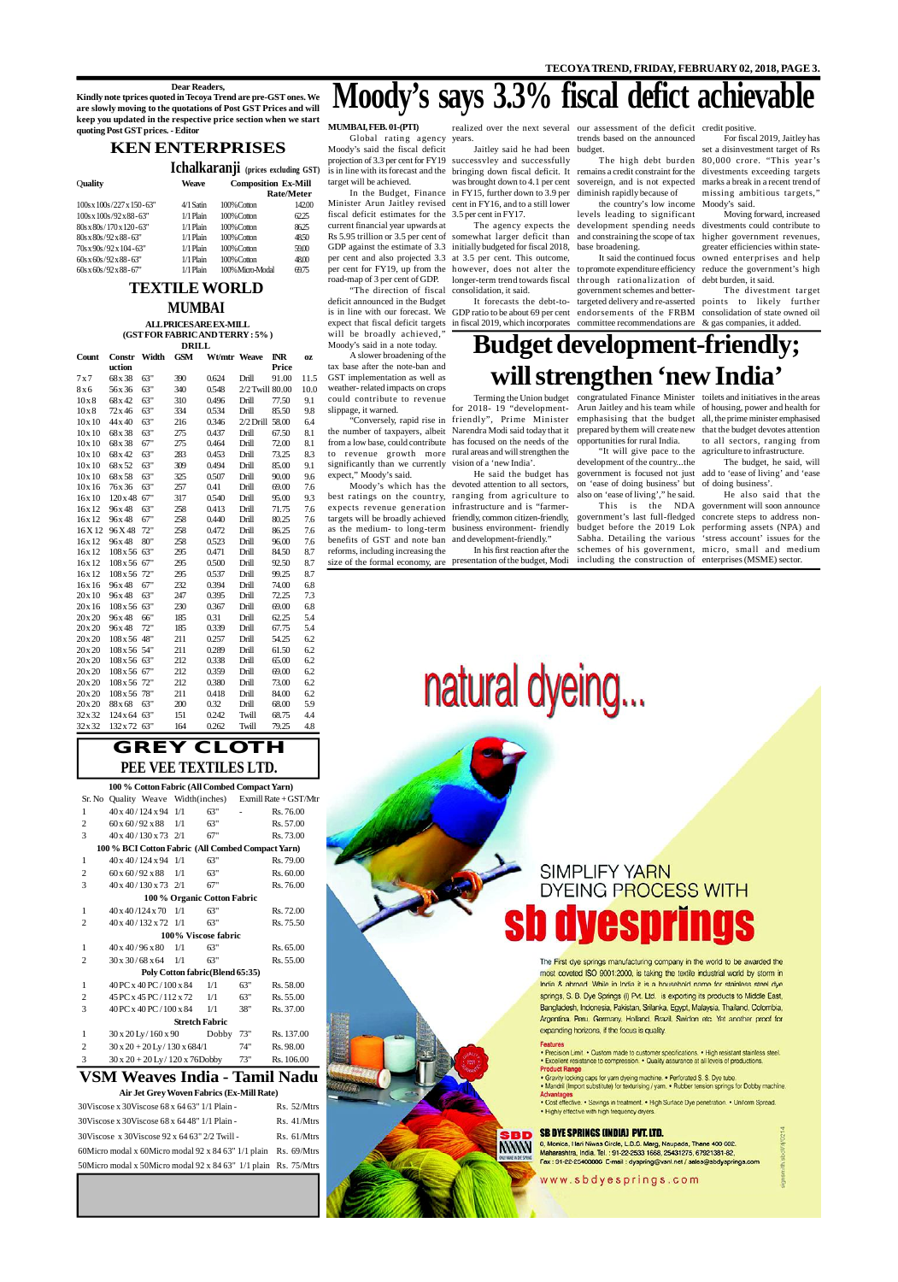## **GREY CLOTH PEE VEE TEXTILES LTD.**

### **VSM Weaves India - Tamil Nadu**

#### **Air Jet Grey Woven Fabrics (Ex-Mill Rate)**

### **KEN ENTERPRISES**

**Ichalkaranji (prices excluding GST)**

| Quality                                    | <b>Weave</b> | <b>Composition Ex-Mill</b> |            |
|--------------------------------------------|--------------|----------------------------|------------|
|                                            |              |                            | Rate/Meter |
| $100s \times 100s / 227 \times 150 - 63$ " | 4/1 Satin    | 100% Cotton                | 142.00     |
| $100s \times 100s/92 \times 88 - 63$ "     | $1/1$ Plain  | 100% Cotton                | 62.25      |
| 80s x 80s / 170 x 120 - 63"                | $1/1$ Plain  | 100% Cotton                | 86.25      |
| $80s \times 80s / 92 \times 88 - 63"$      | $1/1$ Plain  | 100% Cotton                | 48.50      |
| 70s x 90s/92 x 104 - 63"                   | $1/1$ Plain  | 100% Cotton                | 59.00      |
| $60s \times 60s / 92 \times 88 - 63"$      | $1/1$ Plain  | 100% Cotton                | 48.00      |
| $60s \times 60s / 92 \times 88 - 67"$      | $1/1$ Plain  | 100% Micro-Modal           | 69.75      |

**100 % Cotton Fabric (All Combed Compact Yarn)** Sr. No Quality Weave Width(inches) Exmill Rate + GST/Mtr 1  $40 \times 40 / 124 \times 94$  1/1 63" - Rs. 76.00

| 30 Viscose x 30 Viscose 68 x 64 63" 1/1 Plain -                   | $Rs. 52/M$ trs |
|-------------------------------------------------------------------|----------------|
| 30 Viscose x 30 Viscose 68 x 64 48" 1/1 Plain -                   | $Rs. 41/M$ trs |
| 30Viscose x 30Viscose 92 x 64 63" 2/2 Twill -                     | $Rs. 61/M$ trs |
| 60 Micro modal x 60 Micro modal 92 x 84 63" 1/1 plain Rs. 69/Mtrs |                |
| 50 Micro modal x 50 Micro modal 92 x 84 63" 1/1 plain Rs. 75 Mtrs |                |

## SIMPLIFY YARN **DYEING PROCESS WITH** dyesprings

The First dye springs manufacturing company in the world to be awarded the most coveted ISO 9001:2000, is taking the textile industrial world by storm in India & abroad. While in India it is a household name for stainless steel dye springs, S. B. Dye Springs (I) Pvt. Ltd. is exporting its products to Middle East, Bangladesh, Indonesia, Pakistan, Srilanka, Egypt, Malaysia, Thailand, Colombia, Argentina, Peru, Germany, Holland, Brazil, Swidon etc. Yet another proof for expanding horizons, if the focus is quality.

#### Features

**MWW** 

. Precision Limit. . Custom made to customer specifications. . High resistant stainless steel. . Excellent resistance to compression. . Quality assurance at all levels of productions. **Product Range** 

. Gravity locking caps for yarn dyeing machine. . Perforated S. S. Dye tube.

. Mandril (Import substitute) for texturising / yarn. . Rubber tension springs for Dobby machine. **Advantages** 

. Cost effective. . Savings in treatment. . High Surface Dye penetration. . Uniform Spread. . Highly effective with high frequency dryers.

#### **SB DYE SPRINGS (INDIA) PVT. LTD.**

8, Monica, Hari Niwas Circle, L.B.S. Marg, Naupada, Thane 400 602. Maharashtra, India. Tel.: 91-22-2533 1668, 25431275, 67921381-82, Fax: 91-22-25408886 E-mail: dyspring@vsnl.net / sales@sbdysprings.com

www.sbdyesprings.com

| $\bf{l}$ | 40 X 407 TZ4 X 94                                 | $\frac{1}{1}$ | OŚ                               |     | <b>KS.</b> 70.00 |
|----------|---------------------------------------------------|---------------|----------------------------------|-----|------------------|
| 2        | $60 \times 60 / 92 \times 88$                     | 1/1           | 63"                              |     | Rs. 57.00        |
| 3        | $40 \times 40 / 130 \times 73$ 2/1                |               | 67"                              |     | Rs. 73.00        |
|          | 100 % BCI Cotton Fabric (All Combed Compact Yarn) |               |                                  |     |                  |
| 1        | $40 \times 40 / 124 \times 94$                    | 1/1           | 63"                              |     | Rs. 79.00        |
| 2        | 60 x 60/92 x 88                                   | 1/1           | 63"                              |     | Rs. 60.00        |
| 3        | $40 \times 40 / 130 \times 73$ 2/1                |               | 67"                              |     | Rs. 76.00        |
|          |                                                   |               | 100 % Organic Cotton Fabric      |     |                  |
| 1        | $40 \times 40 / 124 \times 70$                    | 1/1           | 63"                              |     | Rs. 72.00        |
| 2        | $40 \times 40 / 132 \times 72$ 1/1                |               | 63"                              |     | Rs. 75.50        |
|          |                                                   |               | 100% Viscose fabric              |     |                  |
| 1        | $40 \times 40 / 96 \times 80$                     | 1/1           | 63"                              |     | Rs. 65.00        |
| 2        | $30 \times 30 / 68 \times 64$ 1/1                 |               | 63"                              |     | Rs. 55.00        |
|          |                                                   |               | Poly Cotton fabric (Blend 65:35) |     |                  |
| 1        | 40 PC x 40 PC / 100 x 84                          |               | 1/1                              | 63" | Rs. 58.00        |
| 2        | 45 PC x 45 PC/112 x 72                            |               | 1/1                              | 63" | Rs. 55.00        |
| 3        | 40 PC x 40 PC / 100 x 84                          |               | 1/1                              | 38" | Rs. 37.00        |
|          |                                                   |               | <b>Stretch Fabric</b>            |     |                  |
| 1        | $30 \times 20$ Ly $/ 160 \times 90$               |               | Dobby                            | 73" | Rs. 137.00       |
| 2        | $30 \times 20 + 20$ Ly / 130 x 684/1              |               |                                  | 74" | Rs. 98.00        |
| 3        | $30 \times 20 + 20$ Ly / 120 x 76Dobby            |               |                                  | 73" | Rs. 106.00       |

### **TEXTILE WORLD MUMBAI**

#### **Dear Readers,**

Minister Arun Jaitley revised cent in FY16, and to a still lower fiscal deficit estimates for the 3.5 per cent in FY17. current financial year upwards at GDP against the estimate of 3.3 initially budgeted for fiscal 2018, per cent and also projected 3.3 at 3.5 per cent. This outcome, road-map of 3 per cent of GDP. longer-term trend towards fiscal through rationalization of

**Kindly note tprices quoted in Tecoya Trend are pre-GST ones. We are slowly moving to the quotations of Post GST Prices and will keep you updated in the respective price section when we start quoting Post GST prices. - Editor**

#### **ALL PRICES ARE EX-MILL (GST FOR FABRIC AND TERRY : 5% )**

|         |            |       | <b>DRILL</b> |              |                 |              |      |
|---------|------------|-------|--------------|--------------|-----------------|--------------|------|
| Count   | Constr     | Width | <b>GSM</b>   | Wt/mtr Weave |                 | <b>INR</b>   | OZ   |
|         | uction     |       |              |              |                 | <b>Price</b> |      |
| 7x7     | 68x38      | 63"   | 390          | 0.624        | Drill           | 91.00        | 11.5 |
| 8x6     | 56 x 36    | 63"   | 340          | 0.548        | 2/2 Twill 80.00 |              | 10.0 |
| 10x8    | 68x42      | 63"   | 310          | 0.496        | Drill           | 77.50        | 9.1  |
| 10x8    | 72 x 46    | 63"   | 334          | 0.534        | Drill           | 85.50        | 9.8  |
| 10x10   | 44 x 40    | 63"   | 216          | 0.346        | $2/2$ Drill     | 58.00        | 6.4  |
| 10x10   | 68 x 38    | 63"   | 275          | 0.437        | Drill           | 67.50        | 8.1  |
| 10x10   | 68x38      | 67"   | 275          | 0.464        | Drill           | 72.00        | 8.1  |
| 10x10   | 68x42      | 63"   | 283          | 0.453        | Drill           | 73.25        | 8.3  |
| 10x10   | 68x52      | 63"   | 309          | 0.494        | Drill           | 85.00        | 9.1  |
| 10x10   | 68x58      | 63"   | 325          | 0.507        | Drill           | 90.00        | 9.6  |
| 10x16   | 76x36      | 63"   | 257          | 0.41         | Drill           | 69.00        | 7.6  |
| 16x10   | 120x48     | 67"   | 317          | 0.540        | Drill           | 95.00        | 9.3  |
| 16x12   | 96x48      | 63"   | 258          | 0.413        | Drill           | 71.75        | 7.6  |
| 16x12   | 96x48      | 67"   | 258          | 0.440        | Drill           | 80.25        | 7.6  |
| 16X12   | 96X48      | 72"   | 258          | 0.472        | Drill           | 86.25        | 7.6  |
| 16x12   | 96x48      | 80"   | 258          | 0.523        | Drill           | 96.00        | 7.6  |
| 16x12   | 108x56     | 63"   | 295          | 0.471        | Drill           | 84.50        | 8.7  |
| 16x12   | $108x\,56$ | 67"   | 295          | 0.500        | Drill           | 92.50        | 8.7  |
| 16x12   | 108x56     | 72"   | 295          | 0.537        | Drill           | 99.25        | 8.7  |
| 16x16   | 96x48      | 67"   | 232          | 0.394        | Drill           | 74.00        | 6.8  |
| 20x10   | 96x48      | 63"   | 247          | 0.395        | Drill           | 72.25        | 7.3  |
| 20x 16  | 108x56     | 63"   | 230          | 0.367        | Drill           | 69.00        | 6.8  |
| 20x20   | 96x48      | 66"   | 185          | 0.31         | Drill           | 62.25        | 5.4  |
| 20 x 20 | 96x48      | 72"   | 185          | 0.339        | Drill           | 67.75        | 5.4  |
| 20x20   | 108x56     | 48"   | 211          | 0.257        | Drill           | 54.25        | 6.2  |
| 20x20   | 108x56     | 54"   | 211          | 0.289        | Drill           | 61.50        | 6.2  |
| 20x20   | $108x\,56$ | 63"   | 212          | 0.338        | Drill           | 65.00        | 6.2  |
| 20 x 20 | $108x\,56$ | 67"   | 212          | 0.359        | Drill           | 69.00        | 6.2  |
| 20 x 20 | 108x56     | 72"   | 212          | 0.380        | Drill           | 73.00        | 6.2  |
| 20x20   | 108x56     | 78"   | 211          | 0.418        | Drill           | 84.00        | 6.2  |
| 20 x 20 | 88 x 68    | 63"   | 200          | 0.32         | Drill           | 68.00        | 5.9  |
| 32x32   | 124x64     | 63"   | 151          | 0.242        | Twill           | 68.75        | 4.4  |
| 32x32   | 132 x 72   | 63"   | 164          | 0.262        | Twill           | 79.25        | 4.8  |

per cent for FY19, up from the however, does not alter the to promote expenditure efficiency reduce the government's high It forecasts the debt-to-targeted delivery and re-asserted points to likely further It said the continued focus government schemes and better-

Moody's which has the devoted attention to all sectors, on 'ease of doing business' but of doing business'. He said the budget has government is focused not just add to 'ease of living' and 'ease "It will give pace to the agriculture to infrastructure. development of the country...the

# **Moody's says 3.3% fiscal defict achievable**

**MUMBAI, FEB. 01-(PTI)**

Global rating agency years. Moody's said the fiscal deficit projection of 3.3 per cent for FY19 successvley and successfully target will be achieved.

"Conversely, rapid rise in friendly", Prime Minister emphasising that the budget all, the prime minister emphasised Terming the Union budget congratulated Finance Minister toilets and initiatives in the areas for 2018- 19 "development-Arun Jaitley and his team while of housing, power and health for to all sectors, ranging from

"The direction of fiscal consolidation, it said. deficit announced in the Budget is in line with our forecast. We GDP ratio to be about 69 per cent endorsements of the FRBM consolidation of state owned oil expect that fiscal deficit targets in fiscal 2019, which incorporates committee recommendations are  $\&$  gas companies, it added. will be broadly achieved," Moody's said in a note today.

A slower broadening of the tax base after the note-ban and GST implementation as well as weather- related impacts on crops could contribute to revenue slippage, it warned.

the number of taxpayers, albeit Narendra Modi said today that it prepared by them will create new that the budget devotes attention from a low base, could contribute has focused on the needs of the opportunities for rural India. to revenue growth more rural areas and will strengthen the significantly than we currently vision of a 'new India'. expect," Moody's said.

In the Budget, Finance in FY15, further down to 3.9 per diminish rapidly because of Jaitley said he had been budget. was brought down to 4.1 per cent sovereign, and is not expected

best ratings on the country, ranging from agriculture to also on 'ease of living'," he said. expects revenue generation infrastructure and is "farmertargets will be broadly achieved friendly, common citizen-friendly, government's last full-fledged concrete steps to address nonas the medium- to long-term business environment- friendly budget before the 2019 Lok performing assets (NPA) and benefits of GST and note ban and development-friendly." reforms, including increasing the

Rs 5.95 trillion or 3.5 per cent of somewhat larger deficit than and constraining the scope of tax higher government revenues, The agency expects the development spending needs the country's low income levels leading to significant base broadening.

is in line with its forecast and the bringing down fiscal deficit. It remains a credit constraint for the divestments exceeding targets For fiscal 2019, Jaitley has set a disinvestment target of Rs 80,000 crore. "This year 's marks a break in a recent trend of missing ambitious targets,"

realized over the next several our assessment of the deficit credit positive.

trends based on the announced

The high debt burden

Moody's said. Moving forward, increased divestments could contribute to greater efficiencies within stateowned enterprises and help debt burden, it said.

The divestment target

## **Budget development-friendly; will strengthen 'new India'**

In his first reaction after the

size of the formal economy, are presentation of the budget, Modi including the construction of enterprises (MSME) sector.

This is the NDA government will soon announce He also said that the 'stress account' issues for the

natural dyeing...

Sabha. Detailing the various schemes of his government, micro, small and medium

The budget, he said, will